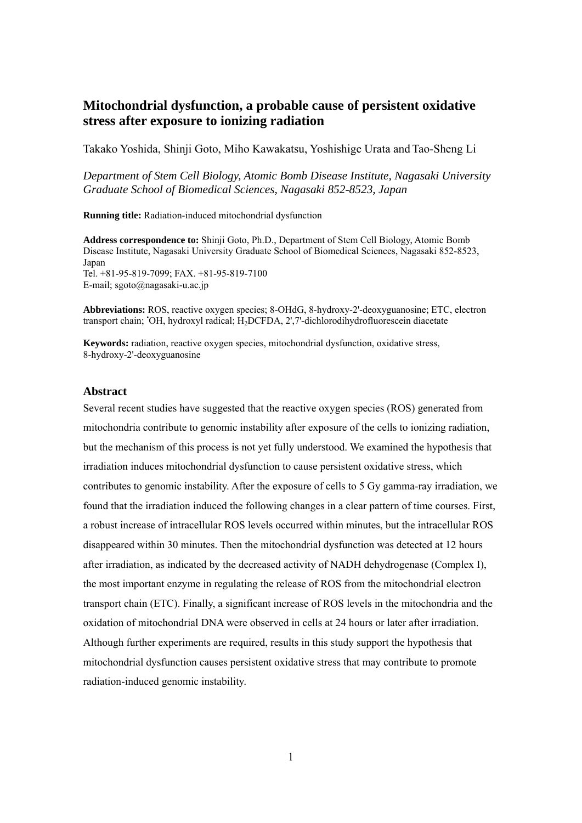# **Mitochondrial dysfunction, a probable cause of persistent oxidative stress after exposure to ionizing radiation**

Takako Yoshida, Shinji Goto, Miho Kawakatsu, Yoshishige Urata and Tao-Sheng Li

*Department of Stem Cell Biology, Atomic Bomb Disease Institute, Nagasaki University Graduate School of Biomedical Sciences, Nagasaki 852-8523, Japan* 

**Running title:** Radiation-induced mitochondrial dysfunction

**Address correspondence to:** Shinji Goto, Ph.D., Department of Stem Cell Biology, Atomic Bomb Disease Institute, Nagasaki University Graduate School of Biomedical Sciences, Nagasaki 852-8523, Japan Tel. +81-95-819-7099; FAX. +81-95-819-7100 E-mail; sgoto@nagasaki-u.ac.jp

**Abbreviations:** ROS, reactive oxygen species; 8-OHdG, 8-hydroxy-2'-deoxyguanosine; ETC, electron transport chain; 'OH, hydroxyl radical; H<sub>2</sub>DCFDA, 2',7'-dichlorodihydrofluorescein diacetate

**Keywords:** radiation, reactive oxygen species, mitochondrial dysfunction, oxidative stress, 8-hydroxy-2'-deoxyguanosine

# **Abstract**

Several recent studies have suggested that the reactive oxygen species (ROS) generated from mitochondria contribute to genomic instability after exposure of the cells to ionizing radiation, but the mechanism of this process is not yet fully understood. We examined the hypothesis that irradiation induces mitochondrial dysfunction to cause persistent oxidative stress, which contributes to genomic instability. After the exposure of cells to 5 Gy gamma-ray irradiation, we found that the irradiation induced the following changes in a clear pattern of time courses. First, a robust increase of intracellular ROS levels occurred within minutes, but the intracellular ROS disappeared within 30 minutes. Then the mitochondrial dysfunction was detected at 12 hours after irradiation, as indicated by the decreased activity of NADH dehydrogenase (Complex I), the most important enzyme in regulating the release of ROS from the mitochondrial electron transport chain (ETC). Finally, a significant increase of ROS levels in the mitochondria and the oxidation of mitochondrial DNA were observed in cells at 24 hours or later after irradiation. Although further experiments are required, results in this study support the hypothesis that mitochondrial dysfunction causes persistent oxidative stress that may contribute to promote radiation-induced genomic instability.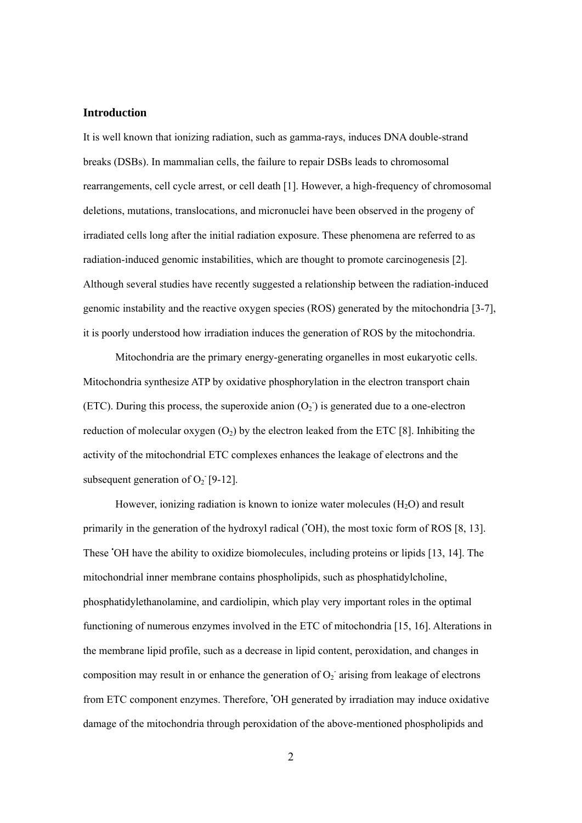## **Introduction**

It is well known that ionizing radiation, such as gamma-rays, induces DNA double-strand breaks (DSBs). In mammalian cells, the failure to repair DSBs leads to chromosomal rearrangements, cell cycle arrest, or cell death [1]. However, a high-frequency of chromosomal deletions, mutations, translocations, and micronuclei have been observed in the progeny of irradiated cells long after the initial radiation exposure. These phenomena are referred to as radiation-induced genomic instabilities, which are thought to promote carcinogenesis [2]. Although several studies have recently suggested a relationship between the radiation-induced genomic instability and the reactive oxygen species (ROS) generated by the mitochondria [3-7], it is poorly understood how irradiation induces the generation of ROS by the mitochondria.

Mitochondria are the primary energy-generating organelles in most eukaryotic cells. Mitochondria synthesize ATP by oxidative phosphorylation in the electron transport chain (ETC). During this process, the superoxide anion  $(O_2)$  is generated due to a one-electron reduction of molecular oxygen  $(O_2)$  by the electron leaked from the ETC [8]. Inhibiting the activity of the mitochondrial ETC complexes enhances the leakage of electrons and the subsequent generation of  $O_2$ <sup>-</sup>[9-12].

However, ionizing radiation is known to ionize water molecules  $(H_2O)$  and result primarily in the generation of the hydroxyl radical ('OH), the most toxic form of ROS [8, 13]. These • OH have the ability to oxidize biomolecules, including proteins or lipids [13, 14]. The mitochondrial inner membrane contains phospholipids, such as phosphatidylcholine, phosphatidylethanolamine, and cardiolipin, which play very important roles in the optimal functioning of numerous enzymes involved in the ETC of mitochondria [15, 16]. Alterations in the membrane lipid profile, such as a decrease in lipid content, peroxidation, and changes in composition may result in or enhance the generation of  $O_2$  arising from leakage of electrons from ETC component enzymes. Therefore, • OH generated by irradiation may induce oxidative damage of the mitochondria through peroxidation of the above-mentioned phospholipids and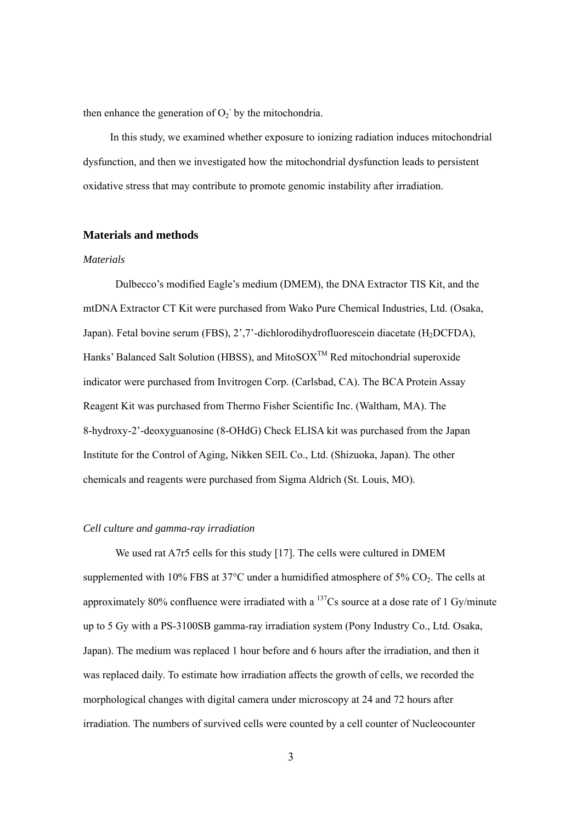then enhance the generation of  $O_2$ <sup>-</sup> by the mitochondria.

In this study, we examined whether exposure to ionizing radiation induces mitochondrial dysfunction, and then we investigated how the mitochondrial dysfunction leads to persistent oxidative stress that may contribute to promote genomic instability after irradiation.

# **Materials and methods**

#### *Materials*

Dulbecco's modified Eagle's medium (DMEM), the DNA Extractor TIS Kit, and the mtDNA Extractor CT Kit were purchased from Wako Pure Chemical Industries, Ltd. (Osaka, Japan). Fetal bovine serum (FBS), 2',7'-dichlorodihydrofluorescein diacetate (H<sub>2</sub>DCFDA), Hanks' Balanced Salt Solution (HBSS), and MitoSO $X^{TM}$  Red mitochondrial superoxide indicator were purchased from Invitrogen Corp. (Carlsbad, CA). The BCA Protein Assay Reagent Kit was purchased from Thermo Fisher Scientific Inc. (Waltham, MA). The 8-hydroxy-2'-deoxyguanosine (8-OHdG) Check ELISA kit was purchased from the Japan Institute for the Control of Aging, Nikken SEIL Co., Ltd. (Shizuoka, Japan). The other chemicals and reagents were purchased from Sigma Aldrich (St. Louis, MO).

#### *Cell culture and gamma-ray irradiation*

We used rat A7r5 cells for this study [17]. The cells were cultured in DMEM supplemented with 10% FBS at 37 $^{\circ}$ C under a humidified atmosphere of 5% CO<sub>2</sub>. The cells at approximately 80% confluence were irradiated with a  $137$ Cs source at a dose rate of 1 Gy/minute up to 5 Gy with a PS-3100SB gamma-ray irradiation system (Pony Industry Co., Ltd. Osaka, Japan). The medium was replaced 1 hour before and 6 hours after the irradiation, and then it was replaced daily. To estimate how irradiation affects the growth of cells, we recorded the morphological changes with digital camera under microscopy at 24 and 72 hours after irradiation. The numbers of survived cells were counted by a cell counter of Nucleocounter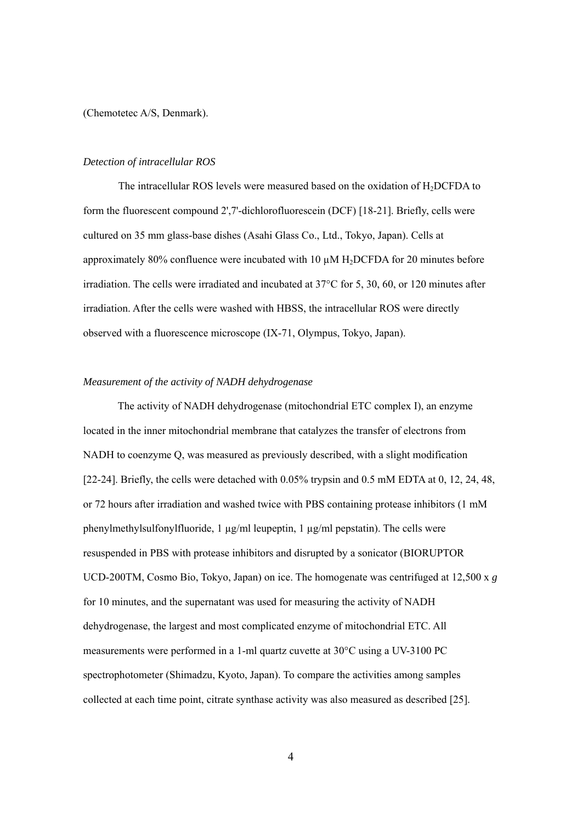(Chemotetec A/S, Denmark).

#### *Detection of intracellular ROS*

The intracellular ROS levels were measured based on the oxidation of  $H_2DCFDA$  to form the fluorescent compound 2',7'-dichlorofluorescein (DCF) [18-21]. Briefly, cells were cultured on 35 mm glass-base dishes (Asahi Glass Co., Ltd., Tokyo, Japan). Cells at approximately 80% confluence were incubated with 10  $\mu$ M H<sub>2</sub>DCFDA for 20 minutes before irradiation. The cells were irradiated and incubated at 37°C for 5, 30, 60, or 120 minutes after irradiation. After the cells were washed with HBSS, the intracellular ROS were directly observed with a fluorescence microscope (IX-71, Olympus, Tokyo, Japan).

# *Measurement of the activity of NADH dehydrogenase*

The activity of NADH dehydrogenase (mitochondrial ETC complex I), an enzyme located in the inner mitochondrial membrane that catalyzes the transfer of electrons from NADH to coenzyme Q, was measured as previously described, with a slight modification [22-24]. Briefly, the cells were detached with 0.05% trypsin and 0.5 mM EDTA at 0, 12, 24, 48, or 72 hours after irradiation and washed twice with PBS containing protease inhibitors (1 mM phenylmethylsulfonylfluoride, 1 µg/ml leupeptin, 1 µg/ml pepstatin). The cells were resuspended in PBS with protease inhibitors and disrupted by a sonicator (BIORUPTOR UCD-200TM, Cosmo Bio, Tokyo, Japan) on ice. The homogenate was centrifuged at 12,500 x *g* for 10 minutes, and the supernatant was used for measuring the activity of NADH dehydrogenase, the largest and most complicated enzyme of mitochondrial ETC. All measurements were performed in a 1-ml quartz cuvette at 30°C using a UV-3100 PC spectrophotometer (Shimadzu, Kyoto, Japan). To compare the activities among samples collected at each time point, citrate synthase activity was also measured as described [25].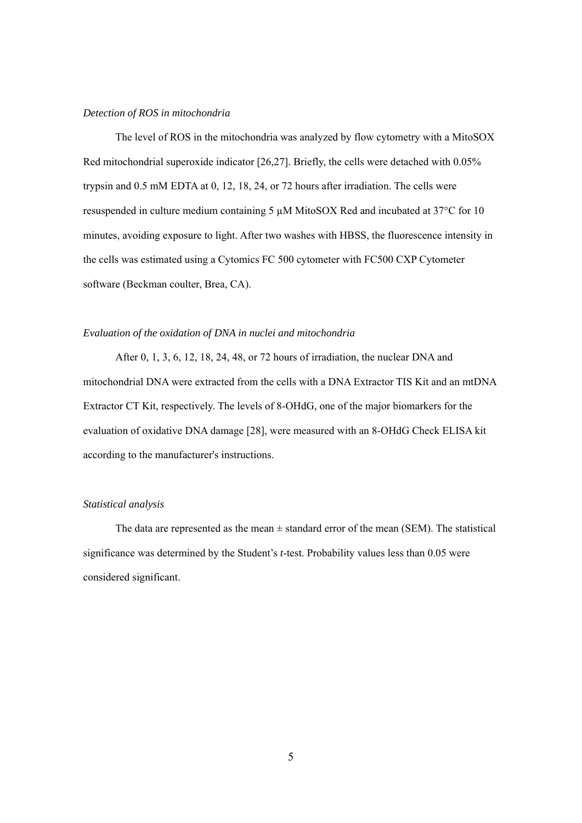# *Detection of ROS in mitochondria*

The level of ROS in the mitochondria was analyzed by flow cytometry with a MitoSOX Red mitochondrial superoxide indicator [26,27]. Briefly, the cells were detached with 0.05% trypsin and 0.5 mM EDTA at 0, 12, 18, 24, or 72 hours after irradiation. The cells were resuspended in culture medium containing 5 µM MitoSOX Red and incubated at 37°C for 10 minutes, avoiding exposure to light. After two washes with HBSS, the fluorescence intensity in the cells was estimated using a Cytomics FC 500 cytometer with FC500 CXP Cytometer software (Beckman coulter, Brea, CA).

#### *Evaluation of the oxidation of DNA in nuclei and mitochondria*

After 0, 1, 3, 6, 12, 18, 24, 48, or 72 hours of irradiation, the nuclear DNA and mitochondrial DNA were extracted from the cells with a DNA Extractor TIS Kit and an mtDNA Extractor CT Kit, respectively. The levels of 8-OHdG, one of the major biomarkers for the evaluation of oxidative DNA damage [28], were measured with an 8-OHdG Check ELISA kit according to the manufacturer's instructions.

#### *Statistical analysis*

The data are represented as the mean  $\pm$  standard error of the mean (SEM). The statistical significance was determined by the Student's *t*-test. Probability values less than 0.05 were considered significant.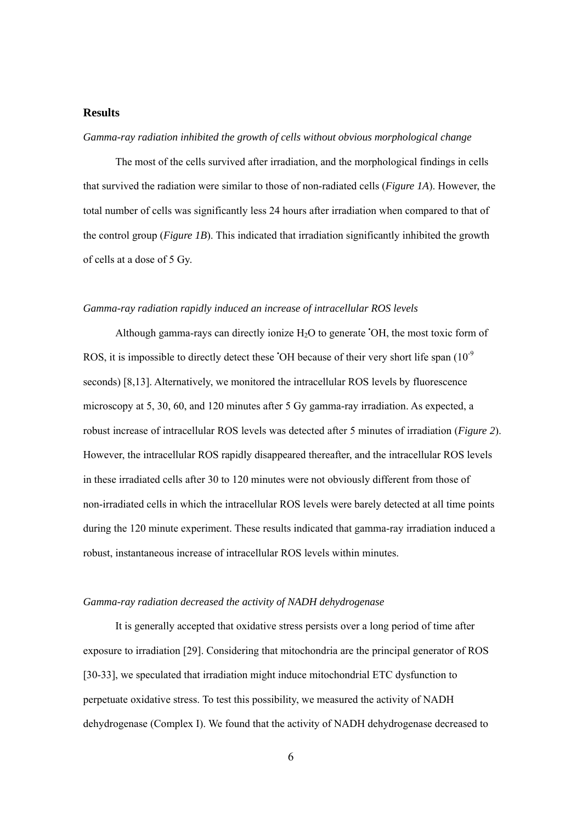## **Results**

#### *Gamma-ray radiation inhibited the growth of cells without obvious morphological change*

The most of the cells survived after irradiation, and the morphological findings in cells that survived the radiation were similar to those of non-radiated cells (*Figure 1A*). However, the total number of cells was significantly less 24 hours after irradiation when compared to that of the control group (*Figure 1B*). This indicated that irradiation significantly inhibited the growth of cells at a dose of 5 Gy.

#### *Gamma-ray radiation rapidly induced an increase of intracellular ROS levels*

Although gamma-rays can directly ionize  $H_2O$  to generate 'OH, the most toxic form of ROS, it is impossible to directly detect these  $\overline{O}$ H because of their very short life span (10<sup>-9</sup>) seconds) [8,13]. Alternatively, we monitored the intracellular ROS levels by fluorescence microscopy at 5, 30, 60, and 120 minutes after 5 Gy gamma-ray irradiation. As expected, a robust increase of intracellular ROS levels was detected after 5 minutes of irradiation (*Figure 2*). However, the intracellular ROS rapidly disappeared thereafter, and the intracellular ROS levels in these irradiated cells after 30 to 120 minutes were not obviously different from those of non-irradiated cells in which the intracellular ROS levels were barely detected at all time points during the 120 minute experiment. These results indicated that gamma-ray irradiation induced a robust, instantaneous increase of intracellular ROS levels within minutes.

#### *Gamma-ray radiation decreased the activity of NADH dehydrogenase*

It is generally accepted that oxidative stress persists over a long period of time after exposure to irradiation [29]. Considering that mitochondria are the principal generator of ROS [30-33], we speculated that irradiation might induce mitochondrial ETC dysfunction to perpetuate oxidative stress. To test this possibility, we measured the activity of NADH dehydrogenase (Complex I). We found that the activity of NADH dehydrogenase decreased to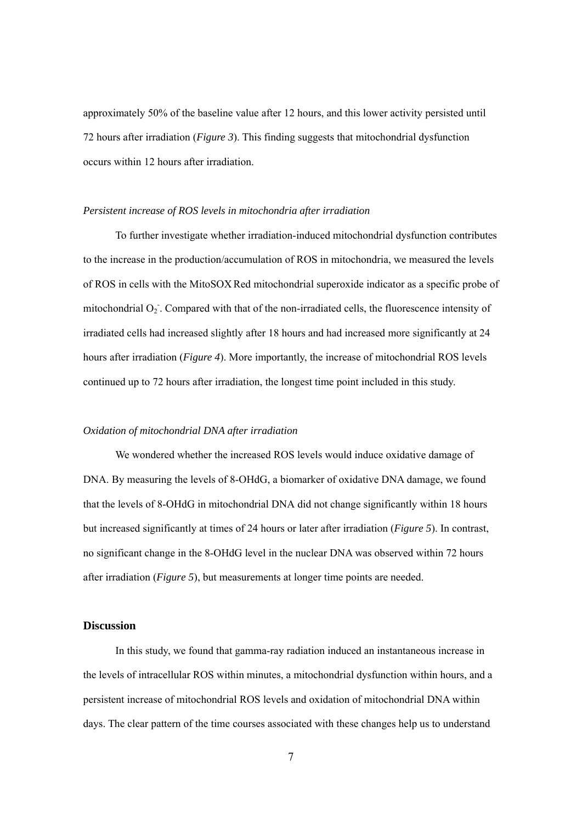approximately 50% of the baseline value after 12 hours, and this lower activity persisted until 72 hours after irradiation (*Figure 3*). This finding suggests that mitochondrial dysfunction occurs within 12 hours after irradiation.

#### *Persistent increase of ROS levels in mitochondria after irradiation*

To further investigate whether irradiation-induced mitochondrial dysfunction contributes to the increase in the production/accumulation of ROS in mitochondria, we measured the levels of ROS in cells with the MitoSOX Red mitochondrial superoxide indicator as a specific probe of mitochondrial O<sub>2</sub>. Compared with that of the non-irradiated cells, the fluorescence intensity of irradiated cells had increased slightly after 18 hours and had increased more significantly at 24 hours after irradiation (*Figure 4*). More importantly, the increase of mitochondrial ROS levels continued up to 72 hours after irradiation, the longest time point included in this study.

#### *Oxidation of mitochondrial DNA after irradiation*

We wondered whether the increased ROS levels would induce oxidative damage of DNA. By measuring the levels of 8-OHdG, a biomarker of oxidative DNA damage, we found that the levels of 8-OHdG in mitochondrial DNA did not change significantly within 18 hours but increased significantly at times of 24 hours or later after irradiation (*Figure 5*). In contrast, no significant change in the 8-OHdG level in the nuclear DNA was observed within 72 hours after irradiation (*Figure 5*), but measurements at longer time points are needed.

#### **Discussion**

In this study, we found that gamma-ray radiation induced an instantaneous increase in the levels of intracellular ROS within minutes, a mitochondrial dysfunction within hours, and a persistent increase of mitochondrial ROS levels and oxidation of mitochondrial DNA within days. The clear pattern of the time courses associated with these changes help us to understand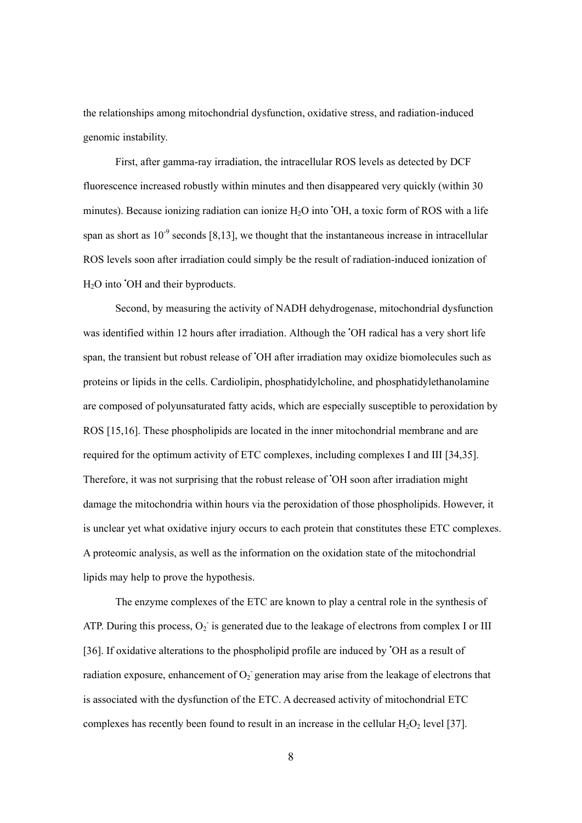the relationships among mitochondrial dysfunction, oxidative stress, and radiation-induced genomic instability.

First, after gamma-ray irradiation, the intracellular ROS levels as detected by DCF fluorescence increased robustly within minutes and then disappeared very quickly (within 30 minutes). Because ionizing radiation can ionize H<sub>2</sub>O into 'OH, a toxic form of ROS with a life span as short as  $10^{-9}$  seconds [8,13], we thought that the instantaneous increase in intracellular ROS levels soon after irradiation could simply be the result of radiation-induced ionization of H<sub>2</sub>O into 'OH and their byproducts.

Second, by measuring the activity of NADH dehydrogenase, mitochondrial dysfunction was identified within 12 hours after irradiation. Although the 'OH radical has a very short life span, the transient but robust release of • OH after irradiation may oxidize biomolecules such as proteins or lipids in the cells. Cardiolipin, phosphatidylcholine, and phosphatidylethanolamine are composed of polyunsaturated fatty acids, which are especially susceptible to peroxidation by ROS [15,16]. These phospholipids are located in the inner mitochondrial membrane and are required for the optimum activity of ETC complexes, including complexes I and III [34,35]. Therefore, it was not surprising that the robust release of 'OH soon after irradiation might damage the mitochondria within hours via the peroxidation of those phospholipids. However, it is unclear yet what oxidative injury occurs to each protein that constitutes these ETC complexes. A proteomic analysis, as well as the information on the oxidation state of the mitochondrial lipids may help to prove the hypothesis.

The enzyme complexes of the ETC are known to play a central role in the synthesis of ATP. During this process,  $O_2$  is generated due to the leakage of electrons from complex I or III [36]. If oxidative alterations to the phospholipid profile are induced by 'OH as a result of radiation exposure, enhancement of  $O_2$  generation may arise from the leakage of electrons that is associated with the dysfunction of the ETC. A decreased activity of mitochondrial ETC complexes has recently been found to result in an increase in the cellular  $H_2O_2$  level [37].

8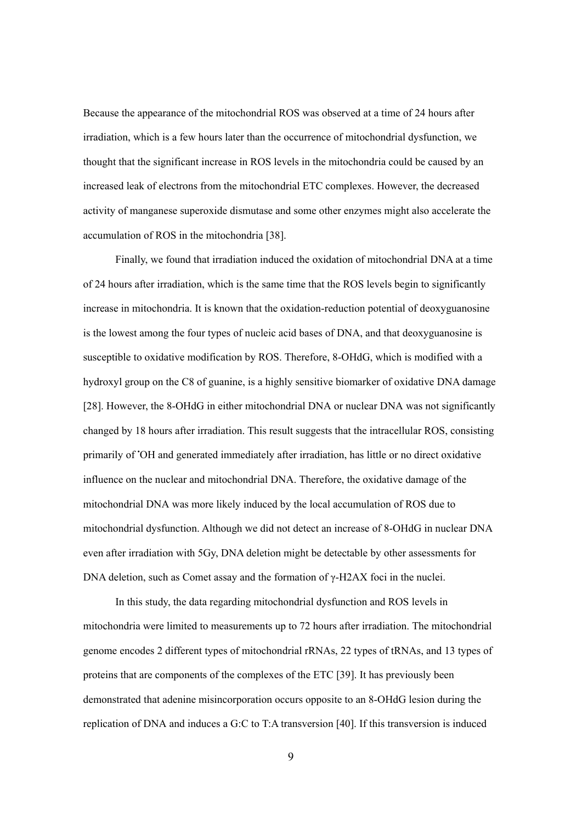Because the appearance of the mitochondrial ROS was observed at a time of 24 hours after irradiation, which is a few hours later than the occurrence of mitochondrial dysfunction, we thought that the significant increase in ROS levels in the mitochondria could be caused by an increased leak of electrons from the mitochondrial ETC complexes. However, the decreased activity of manganese superoxide dismutase and some other enzymes might also accelerate the accumulation of ROS in the mitochondria [38].

Finally, we found that irradiation induced the oxidation of mitochondrial DNA at a time of 24 hours after irradiation, which is the same time that the ROS levels begin to significantly increase in mitochondria. It is known that the oxidation-reduction potential of deoxyguanosine is the lowest among the four types of nucleic acid bases of DNA, and that deoxyguanosine is susceptible to oxidative modification by ROS. Therefore, 8-OHdG, which is modified with a hydroxyl group on the C8 of guanine, is a highly sensitive biomarker of oxidative DNA damage [28]. However, the 8-OHdG in either mitochondrial DNA or nuclear DNA was not significantly changed by 18 hours after irradiation. This result suggests that the intracellular ROS, consisting primarily of 'OH and generated immediately after irradiation, has little or no direct oxidative influence on the nuclear and mitochondrial DNA. Therefore, the oxidative damage of the mitochondrial DNA was more likely induced by the local accumulation of ROS due to mitochondrial dysfunction. Although we did not detect an increase of 8-OHdG in nuclear DNA even after irradiation with 5Gy, DNA deletion might be detectable by other assessments for DNA deletion, such as Comet assay and the formation of γ-H2AX foci in the nuclei.

In this study, the data regarding mitochondrial dysfunction and ROS levels in mitochondria were limited to measurements up to 72 hours after irradiation. The mitochondrial genome encodes 2 different types of mitochondrial rRNAs, 22 types of tRNAs, and 13 types of proteins that are components of the complexes of the ETC [39]. It has previously been demonstrated that adenine misincorporation occurs opposite to an 8-OHdG lesion during the replication of DNA and induces a G:C to T:A transversion [40]. If this transversion is induced

9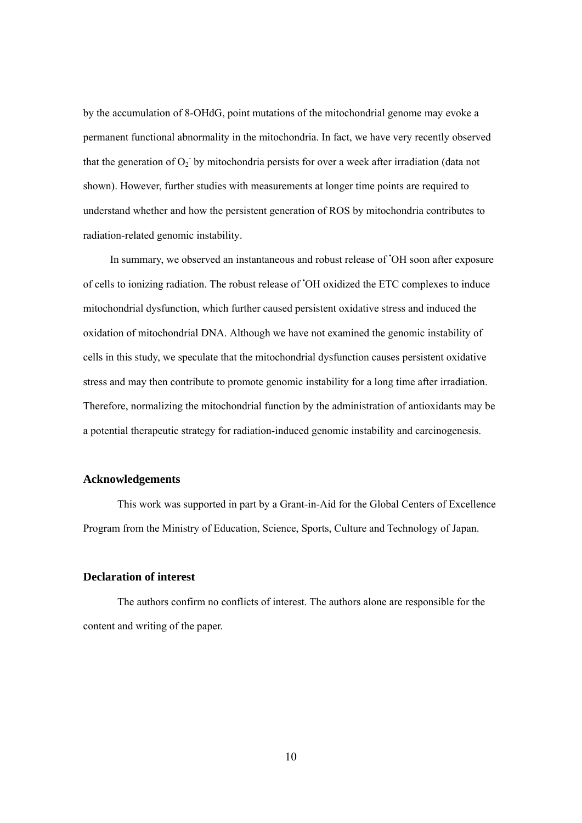by the accumulation of 8-OHdG, point mutations of the mitochondrial genome may evoke a permanent functional abnormality in the mitochondria. In fact, we have very recently observed that the generation of  $O_2$  by mitochondria persists for over a week after irradiation (data not shown). However, further studies with measurements at longer time points are required to understand whether and how the persistent generation of ROS by mitochondria contributes to radiation-related genomic instability.

In summary, we observed an instantaneous and robust release of 'OH soon after exposure of cells to ionizing radiation. The robust release of • OH oxidized the ETC complexes to induce mitochondrial dysfunction, which further caused persistent oxidative stress and induced the oxidation of mitochondrial DNA. Although we have not examined the genomic instability of cells in this study, we speculate that the mitochondrial dysfunction causes persistent oxidative stress and may then contribute to promote genomic instability for a long time after irradiation. Therefore, normalizing the mitochondrial function by the administration of antioxidants may be a potential therapeutic strategy for radiation-induced genomic instability and carcinogenesis.

# **Acknowledgements**

This work was supported in part by a Grant-in-Aid for the Global Centers of Excellence Program from the Ministry of Education, Science, Sports, Culture and Technology of Japan.

# **Declaration of interest**

The authors confirm no conflicts of interest. The authors alone are responsible for the content and writing of the paper.

10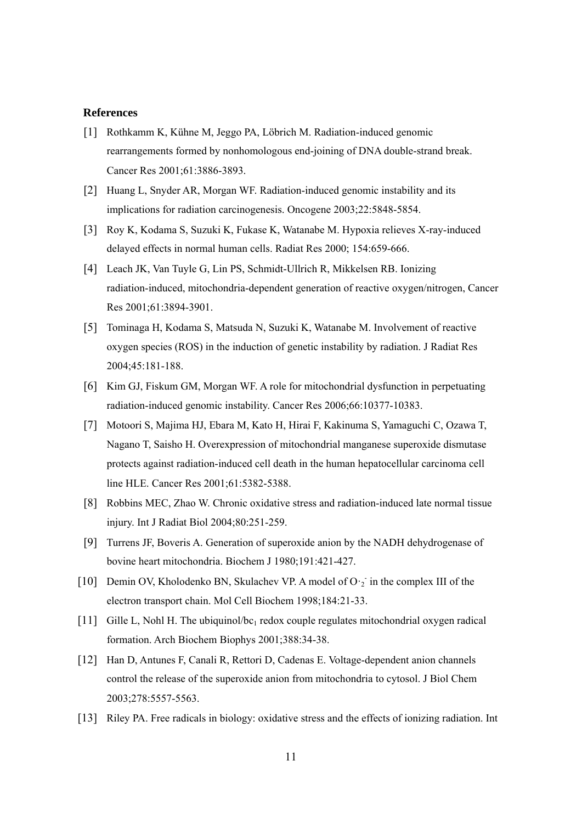## **References**

- [1] Rothkamm K, Kühne M, Jeggo PA, Löbrich M. Radiation-induced genomic rearrangements formed by nonhomologous end-joining of DNA double-strand break. Cancer Res 2001;61:3886-3893.
- [2] Huang L, Snyder AR, Morgan WF. Radiation-induced genomic instability and its implications for radiation carcinogenesis. Oncogene 2003;22:5848-5854.
- [3] Roy K, Kodama S, Suzuki K, Fukase K, Watanabe M. Hypoxia relieves X-ray-induced delayed effects in normal human cells. Radiat Res 2000; 154:659-666.
- [4] Leach JK, Van Tuyle G, Lin PS, Schmidt-Ullrich R, Mikkelsen RB. Ionizing radiation-induced, mitochondria-dependent generation of reactive oxygen/nitrogen, Cancer Res 2001;61:3894-3901.
- [5] Tominaga H, Kodama S, Matsuda N, Suzuki K, Watanabe M. Involvement of reactive oxygen species (ROS) in the induction of genetic instability by radiation. J Radiat Res 2004;45:181-188.
- [6] Kim GJ, Fiskum GM, Morgan WF. A role for mitochondrial dysfunction in perpetuating radiation-induced genomic instability. Cancer Res 2006;66:10377-10383.
- [7] Motoori S, Majima HJ, Ebara M, Kato H, Hirai F, Kakinuma S, Yamaguchi C, Ozawa T, Nagano T, Saisho H. Overexpression of mitochondrial manganese superoxide dismutase protects against radiation-induced cell death in the human hepatocellular carcinoma cell line HLE. Cancer Res 2001;61:5382-5388.
- [8] Robbins MEC, Zhao W. Chronic oxidative stress and radiation-induced late normal tissue injury. Int J Radiat Biol 2004;80:251-259.
- [9] Turrens JF, Boveris A. Generation of superoxide anion by the NADH dehydrogenase of bovine heart mitochondria. Biochem J 1980;191:421-427.
- [10] Demin OV, Kholodenko BN, Skulachev VP. A model of O·2 in the complex III of the electron transport chain. Mol Cell Biochem 1998;184:21-33.
- [11] Gille L, Nohl H. The ubiquinol/bc<sub>1</sub> redox couple regulates mitochondrial oxygen radical formation. Arch Biochem Biophys 2001;388:34-38.
- [12] Han D, Antunes F, Canali R, Rettori D, Cadenas E. Voltage-dependent anion channels control the release of the superoxide anion from mitochondria to cytosol. J Biol Chem 2003;278:5557-5563.
- [13] Riley PA. Free radicals in biology: oxidative stress and the effects of ionizing radiation. Int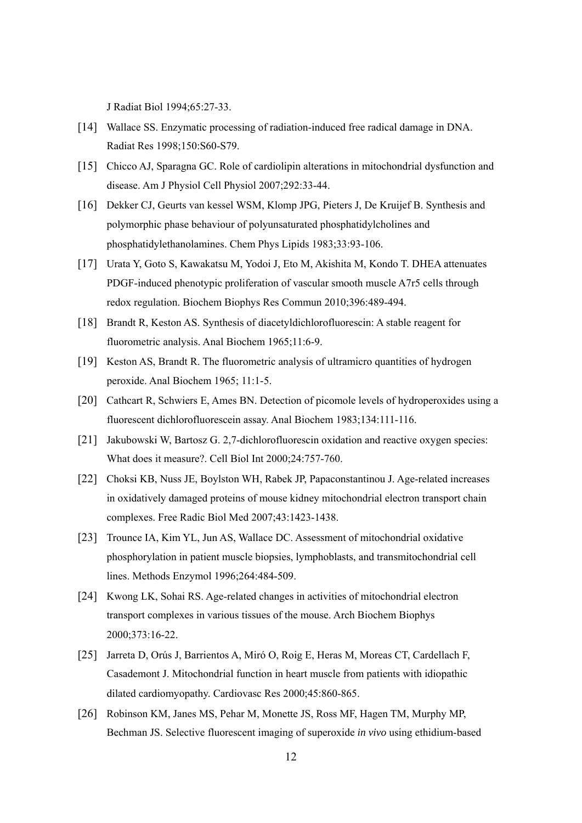J Radiat Biol 1994;65:27-33.

- [14] Wallace SS. Enzymatic processing of radiation-induced free radical damage in DNA. Radiat Res 1998;150:S60-S79.
- [15] Chicco AJ, Sparagna GC. Role of cardiolipin alterations in mitochondrial dysfunction and disease. Am J Physiol Cell Physiol 2007;292:33-44.
- [16] Dekker CJ, Geurts van kessel WSM, Klomp JPG, Pieters J, De Kruijef B. Synthesis and polymorphic phase behaviour of polyunsaturated phosphatidylcholines and phosphatidylethanolamines. Chem Phys Lipids 1983;33:93-106.
- [17] Urata Y, Goto S, Kawakatsu M, Yodoi J, Eto M, Akishita M, Kondo T. DHEA attenuates PDGF-induced phenotypic proliferation of vascular smooth muscle A7r5 cells through redox regulation. Biochem Biophys Res Commun 2010;396:489-494.
- [18] Brandt R, Keston AS. Synthesis of diacetyldichlorofluorescin: A stable reagent for fluorometric analysis. Anal Biochem 1965;11:6-9.
- [19] Keston AS, Brandt R. The fluorometric analysis of ultramicro quantities of hydrogen peroxide. Anal Biochem 1965; 11:1-5.
- [20] Cathcart R, Schwiers E, Ames BN. Detection of picomole levels of hydroperoxides using a fluorescent dichlorofluorescein assay. Anal Biochem 1983;134:111-116.
- [21] Jakubowski W, Bartosz G. 2,7-dichlorofluorescin oxidation and reactive oxygen species: What does it measure?. Cell Biol Int 2000;24:757-760.
- [22] Choksi KB, Nuss JE, Boylston WH, Rabek JP, Papaconstantinou J. Age-related increases in oxidatively damaged proteins of mouse kidney mitochondrial electron transport chain complexes. Free Radic Biol Med 2007;43:1423-1438.
- [23] Trounce IA, Kim YL, Jun AS, Wallace DC. Assessment of mitochondrial oxidative phosphorylation in patient muscle biopsies, lymphoblasts, and transmitochondrial cell lines. Methods Enzymol 1996;264:484-509.
- [24] Kwong LK, Sohai RS. Age-related changes in activities of mitochondrial electron transport complexes in various tissues of the mouse. Arch Biochem Biophys 2000;373:16-22.
- [25] Jarreta D, Orús J, Barrientos A, Miró O, Roig E, Heras M, Moreas CT, Cardellach F, Casademont J. Mitochondrial function in heart muscle from patients with idiopathic dilated cardiomyopathy. Cardiovasc Res 2000;45:860-865.
- [26] Robinson KM, Janes MS, Pehar M, Monette JS, Ross MF, Hagen TM, Murphy MP, Bechman JS. Selective fluorescent imaging of superoxide *in vivo* using ethidium-based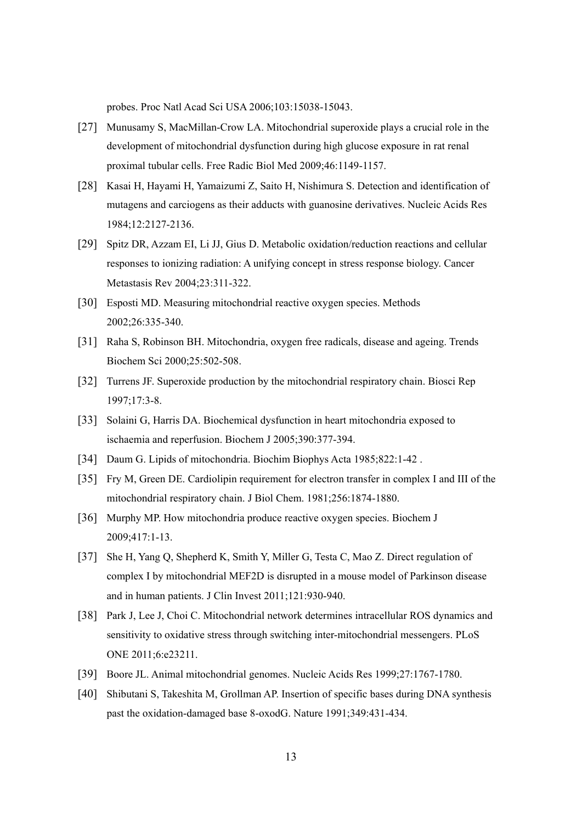probes. Proc Natl Acad Sci USA 2006;103:15038-15043.

- [27] Munusamy S, MacMillan-Crow LA. Mitochondrial superoxide plays a crucial role in the development of mitochondrial dysfunction during high glucose exposure in rat renal proximal tubular cells. Free Radic Biol Med 2009;46:1149-1157.
- [28] Kasai H, Hayami H, Yamaizumi Z, Saito H, Nishimura S. Detection and identification of mutagens and carciogens as their adducts with guanosine derivatives. Nucleic Acids Res 1984;12:2127-2136.
- [29] Spitz DR, Azzam EI, Li JJ, Gius D. Metabolic oxidation/reduction reactions and cellular responses to ionizing radiation: A unifying concept in stress response biology. Cancer Metastasis Rev 2004;23:311-322.
- [30] Esposti MD. Measuring mitochondrial reactive oxygen species. Methods 2002;26:335-340.
- [31] Raha S, Robinson BH. Mitochondria, oxygen free radicals, disease and ageing. Trends Biochem Sci 2000;25:502-508.
- [32] Turrens JF. Superoxide production by the mitochondrial respiratory chain. Biosci Rep 1997;17:3-8.
- [33] Solaini G, Harris DA. Biochemical dysfunction in heart mitochondria exposed to ischaemia and reperfusion. Biochem J 2005;390:377-394.
- [34] Daum G. Lipids of mitochondria. Biochim Biophys Acta 1985;822:1-42 .
- [35] Fry M, Green DE. Cardiolipin requirement for electron transfer in complex I and III of the mitochondrial respiratory chain. J Biol Chem. 1981;256:1874-1880.
- [36] Murphy MP. How mitochondria produce reactive oxygen species. Biochem J 2009;417:1-13.
- [37] She H, Yang Q, Shepherd K, Smith Y, Miller G, Testa C, Mao Z. Direct regulation of complex I by mitochondrial MEF2D is disrupted in a mouse model of Parkinson disease and in human patients. J Clin Invest 2011;121:930-940.
- [38] Park J, Lee J, Choi C. Mitochondrial network determines intracellular ROS dynamics and sensitivity to oxidative stress through switching inter-mitochondrial messengers. PLoS ONE 2011;6:e23211.
- [39] Boore JL. Animal mitochondrial genomes. Nucleic Acids Res 1999;27:1767-1780.
- [40] Shibutani S, Takeshita M, Grollman AP. Insertion of specific bases during DNA synthesis past the oxidation-damaged base 8-oxodG. Nature 1991;349:431-434.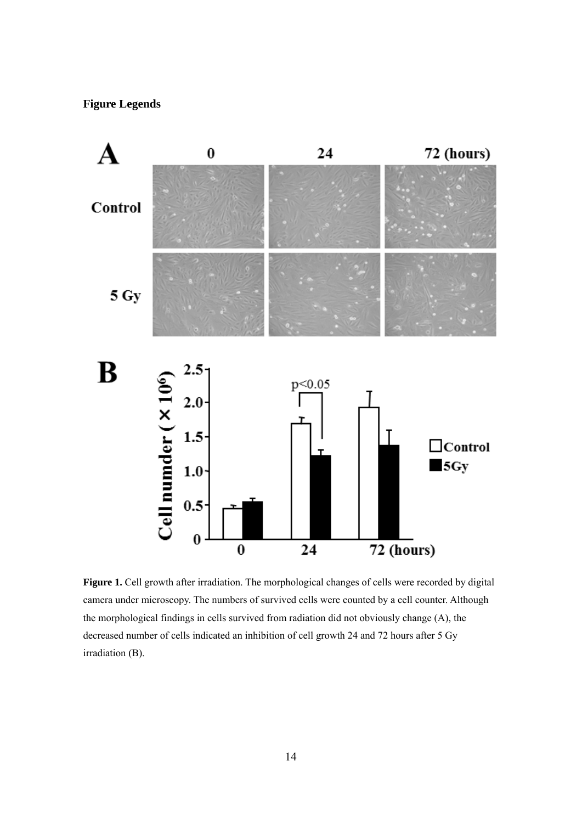# **Figure Legends**



Figure 1. Cell growth after irradiation. The morphological changes of cells were recorded by digital camera under microscopy. The numbers of survived cells were counted by a cell counter. Although the morphological findings in cells survived from radiation did not obviously change (A), the decreased number of cells indicated an inhibition of cell growth 24 and 72 hours after 5 Gy irradiation (B).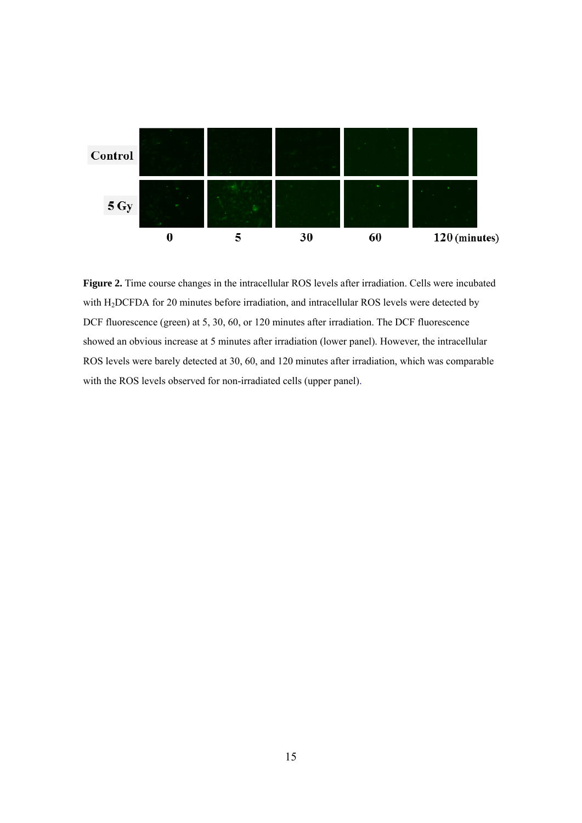

**Figure 2.** Time course changes in the intracellular ROS levels after irradiation. Cells were incubated with H2DCFDA for 20 minutes before irradiation, and intracellular ROS levels were detected by DCF fluorescence (green) at 5, 30, 60, or 120 minutes after irradiation. The DCF fluorescence showed an obvious increase at 5 minutes after irradiation (lower panel). However, the intracellular ROS levels were barely detected at 30, 60, and 120 minutes after irradiation, which was comparable with the ROS levels observed for non-irradiated cells (upper panel).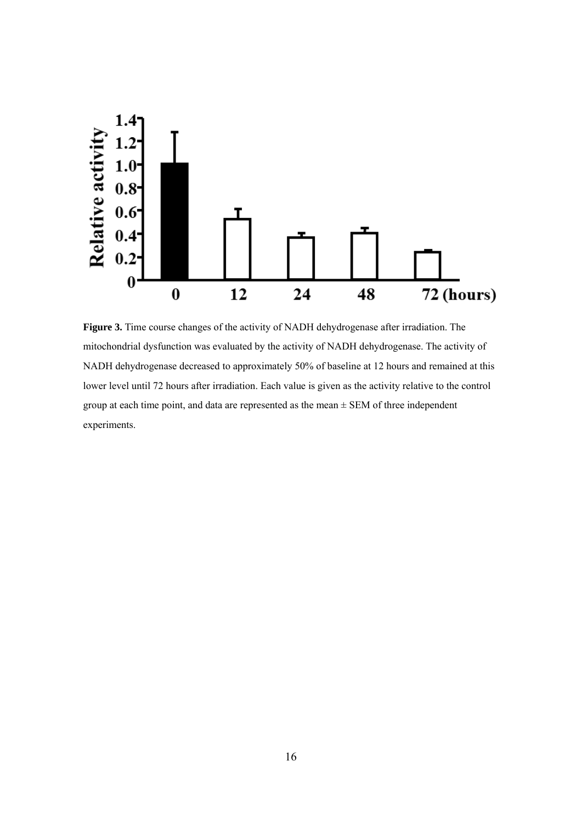

Figure 3. Time course changes of the activity of NADH dehydrogenase after irradiation. The mitochondrial dysfunction was evaluated by the activity of NADH dehydrogenase. The activity of NADH dehydrogenase decreased to approximately 50% of baseline at 12 hours and remained at this lower level until 72 hours after irradiation. Each value is given as the activity relative to the control group at each time point, and data are represented as the mean ± SEM of three independent experiments.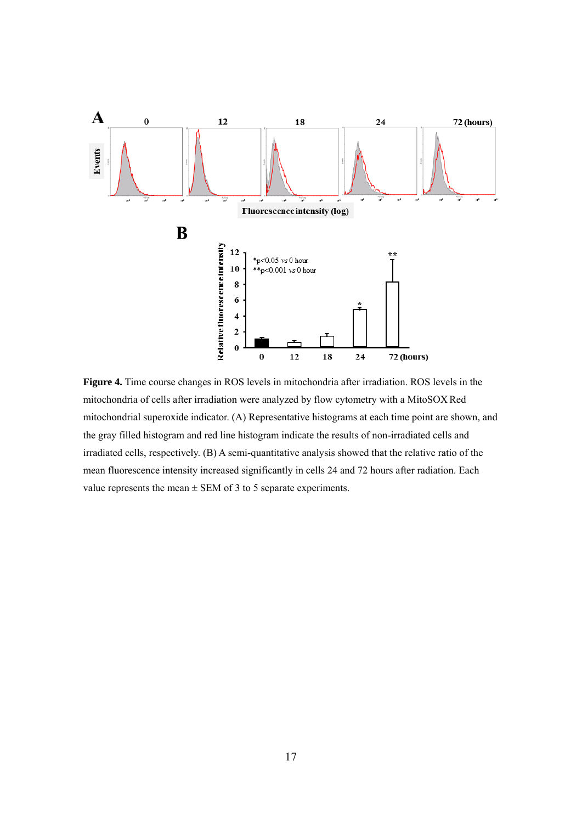

**Figure 4.** Time course changes in ROS levels in mitochondria after irradiation. ROS levels in the mitochondria of cells after irradiation were analyzed by flow cytometry with a MitoSOX Red mitochondrial superoxide indicator. (A) Representative histograms at each time point are shown, and the gray filled histogram and red line histogram indicate the results of non-irradiated cells and irradiated cells, respectively. (B) A semi-quantitative analysis showed that the relative ratio of the mean fluorescence intensity increased significantly in cells 24 and 72 hours after radiation. Each value represents the mean  $\pm$  SEM of 3 to 5 separate experiments.